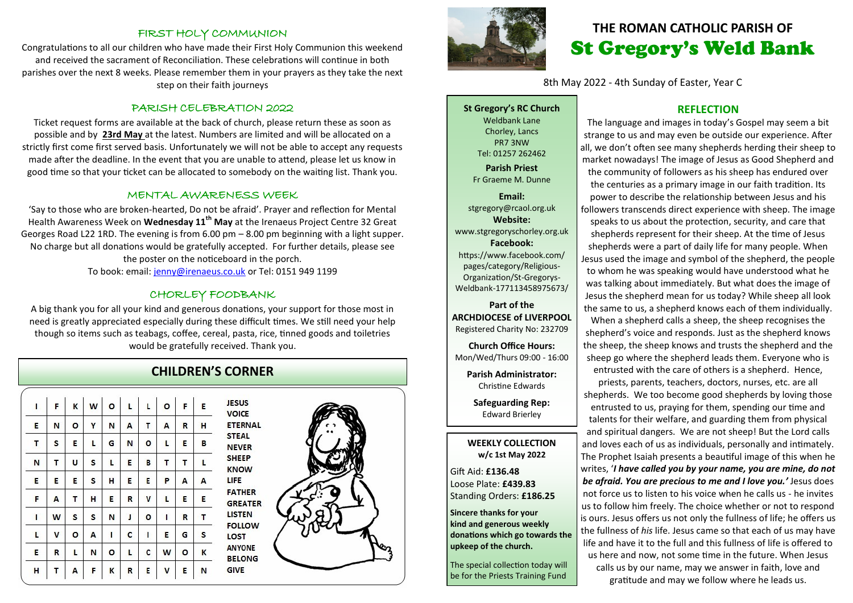#### FIRST HOLY COMMUNION

Congratulations to all our children who have made their First Holy Communion this weekend and received the sacrament of Reconciliation. These celebrations will continue in both parishes over the next 8 weeks. Please remember them in your prayers as they take the next step on their faith journeys

#### PARISH CELEBRATION 2022

Ticket request forms are available at the back of church, please return these as soon as possible and by **23rd May** at the latest. Numbers are limited and will be allocated on a strictly first come first served basis. Unfortunately we will not be able to accept any requests made after the deadline. In the event that you are unable to attend, please let us know in good time so that your ticket can be allocated to somebody on the waiting list. Thank you.

#### MENTAL AWARENESS WEEK

'Say to those who are broken-hearted, Do not be afraid'. Prayer and reflection for Mental Health Awareness Week on **Wednesday 11th May** at the Irenaeus Project Centre 32 Great Georges Road L22 1RD. The evening is from 6.00 pm – 8.00 pm beginning with a light supper. No charge but all donations would be gratefully accepted. For further details, please see the poster on the noticeboard in the porch. To book: email: [jenny@irenaeus.co.uk](mailto:jenny@irenaeus.co.uk) or Tel: 0151 949 1199

#### CHORLEY FOODBANK

A big thank you for all your kind and generous donations, your support for those most in need is greatly appreciated especially during these difficult times. We still need your help though so items such as teabags, coffee, cereal, pasta, rice, tinned goods and toiletries would be gratefully received. Thank you.

## **CHILDREN'S CORNER**

| L. | F | K | $\mathbf{w}$ | $\circ$ | $\mathsf L$ | L           | $\circ$ | F | E |
|----|---|---|--------------|---------|-------------|-------------|---------|---|---|
| E  | Ν | O | Υ            | N       | A           | Τ           | A       | R | н |
| T  | S | E | L            | G       | N           | $\circ$     | L       | Ε | в |
| N  | Τ | U | S            | L       | Ε           | В           | Τ       | Τ | L |
| E  | E | Ε | S            | н       | E           | E           | P       | A | A |
| F  | A | т | н            | E       | R           | ٧           | г       | E | Ε |
| L  | W | S | s            | N       | J           | O           | I       | R | Τ |
| г  | V | o | А            | I       | C           | $\mathbf I$ | E       | G | S |
| E  | R | L | N            | O       | г           | c           | W       | O | К |
| H  | T | A | F            | K       | R           | E           | V       | E | N |





## **THE ROMAN CATHOLIC PARISH OF** St Gregory's Weld Bank

8th May 2022 - 4th Sunday of Easter, Year C

**St Gregory's RC Church** Weldbank Lane Chorley, Lancs PR7 3NW Tel: 01257 262462 **Parish Priest** Fr Graeme M. Dunne **Email:**

stgregory@rcaol.org.uk **Website:** www.stgregoryschorley.org.uk **Facebook:** https://www.facebook.com/ pages/category/Religious-Organization/St-Gregorys-Weldbank-177113458975673/

#### **Part of the ARCHDIOCESE of LIVERPOOL**  Registered Charity No: 232709

**Church Office Hours:** Mon/Wed/Thurs 09:00 - 16:00

**Parish Administrator:** Christine Edwards

**Safeguarding Rep:** Edward Brierley

#### **WEEKLY COLLECTION w/c 1st May 2022**

Gift Aid: **£136.48** Loose Plate: **£439.83** Standing Orders: **£186.25**

**Sincere thanks for your kind and generous weekly donations which go towards the upkeep of the church.** 

The special collection today will be for the Priests Training Fund

#### **REFLECTION**

The language and images in today's Gospel may seem a bit strange to us and may even be outside our experience. After all, we don't often see many shepherds herding their sheep to market nowadays! The image of Jesus as Good Shepherd and the community of followers as his sheep has endured over the centuries as a primary image in our faith tradition. Its power to describe the relationship between Jesus and his followers transcends direct experience with sheep. The image speaks to us about the protection, security, and care that shepherds represent for their sheep. At the time of Jesus shepherds were a part of daily life for many people. When Jesus used the image and symbol of the shepherd, the people to whom he was speaking would have understood what he was talking about immediately. But what does the image of Jesus the shepherd mean for us today? While sheep all look the same to us, a shepherd knows each of them individually. When a shepherd calls a sheep, the sheep recognises the shepherd's voice and responds. Just as the shepherd knows the sheep, the sheep knows and trusts the shepherd and the sheep go where the shepherd leads them. Everyone who is entrusted with the care of others is a shepherd. Hence, priests, parents, teachers, doctors, nurses, etc. are all shepherds. We too become good shepherds by loving those entrusted to us, praying for them, spending our time and talents for their welfare, and guarding them from physical and spiritual dangers. We are not sheep! But the Lord calls and loves each of us as individuals, personally and intimately.

The Prophet Isaiah presents a beautiful image of this when he writes, '*I have called you by your name, you are mine, do not be afraid. You are precious to me and I love you.'* Jesus does not force us to listen to his voice when he calls us - he invites us to follow him freely. The choice whether or not to respond is ours. Jesus offers us not only the fullness of life; he offers us the fullness of *his* life. Jesus came so that each of us may have life and have it to the full and this fullness of life is offered to us here and now, not some time in the future. When Jesus calls us by our name, may we answer in faith, love and gratitude and may we follow where he leads us.